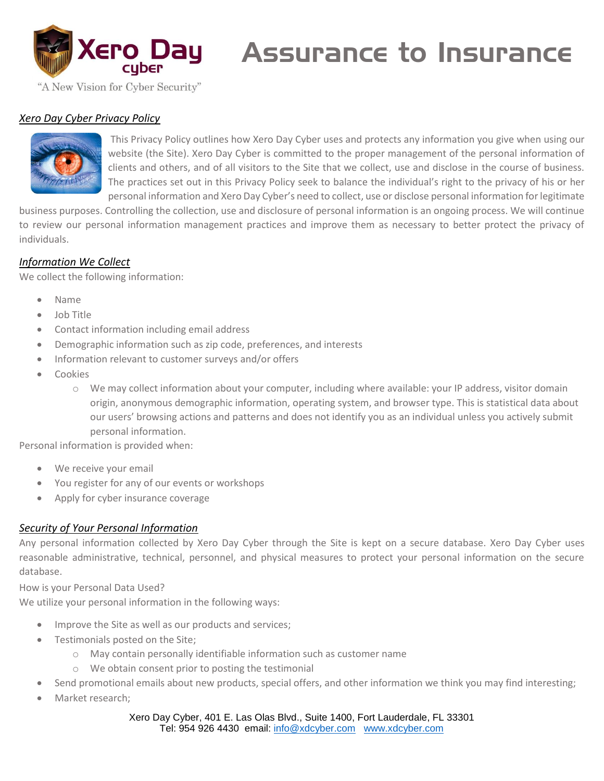

# Assurance to Insurance

"A New Vision for Cyber Security"

#### *Xero Day Cyber Privacy Policy*



This Privacy Policy outlines how Xero Day Cyber uses and protects any information you give when using our website (the Site). Xero Day Cyber is committed to the proper management of the personal information of clients and others, and of all visitors to the Site that we collect, use and disclose in the course of business. The practices set out in this Privacy Policy seek to balance the individual's right to the privacy of his or her personal information and Xero Day Cyber's need to collect, use or disclose personal information for legitimate

business purposes. Controlling the collection, use and disclosure of personal information is an ongoing process. We will continue to review our personal information management practices and improve them as necessary to better protect the privacy of individuals.

## *Information We Collect*

We collect the following information:

- Name
- Job Title
- Contact information including email address
- Demographic information such as zip code, preferences, and interests
- Information relevant to customer surveys and/or offers
- **Cookies** 
	- o We may collect information about your computer, including where available: your IP address, visitor domain origin, anonymous demographic information, operating system, and browser type. This is statistical data about our users' browsing actions and patterns and does not identify you as an individual unless you actively submit personal information.

Personal information is provided when:

- We receive your email
- You register for any of our events or workshops
- Apply for cyber insurance coverage

#### *Security of Your Personal Information*

Any personal information collected by Xero Day Cyber through the Site is kept on a secure database. Xero Day Cyber uses reasonable administrative, technical, personnel, and physical measures to protect your personal information on the secure database.

How is your Personal Data Used?

We utilize your personal information in the following ways:

- Improve the Site as well as our products and services;
- Testimonials posted on the Site;
	- o May contain personally identifiable information such as customer name
	- o We obtain consent prior to posting the testimonial
- Send promotional emails about new products, special offers, and other information we think you may find interesting;
- Market research:

Xero Day Cyber, 401 E. Las Olas Blvd., Suite 1400, Fort Lauderdale, FL 33301 Tel: 954 926 4430 email: [info@xdcyber.com](mailto:info@xdcyber.com) [www.xdcyber.com](http://www.xdcyber.com/)